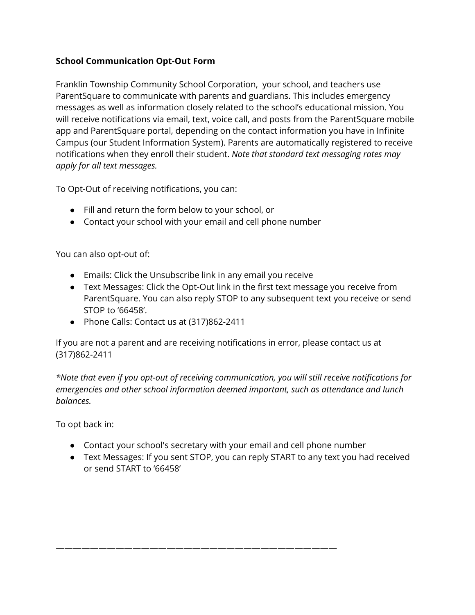## **School Communication Opt-Out Form**

Franklin Township Community School Corporation, your school, and teachers use ParentSquare to communicate with parents and guardians. This includes emergency messages as well as information closely related to the school's educational mission. You will receive notifications via email, text, voice call, and posts from the ParentSquare mobile app and ParentSquare portal, depending on the contact information you have in Infinite Campus (our Student Information System). Parents are automatically registered to receive notifications when they enroll their student. *Note that standard text messaging rates may apply for all text messages.*

To Opt-Out of receiving notifications, you can:

- Fill and return the form below to your school, or
- Contact your school with your email and cell phone number

You can also opt-out of:

- Emails: Click the Unsubscribe link in any email you receive
- Text Messages: Click the Opt-Out link in the first text message you receive from ParentSquare. You can also reply STOP to any subsequent text you receive or send STOP to '66458'.
- Phone Calls: Contact us at (317)862-2411

If you are not a parent and are receiving notifications in error, please contact us at (317)862-2411

*\*Note that even if you opt-out of receiving communication, you will still receive notifications for emergencies and other school information deemed important, such as attendance and lunch balances.*

To opt back in:

● Contact your school's secretary with your email and cell phone number

—————————————————————————————————

● Text Messages: If you sent STOP, you can reply START to any text you had received or send START to '66458'